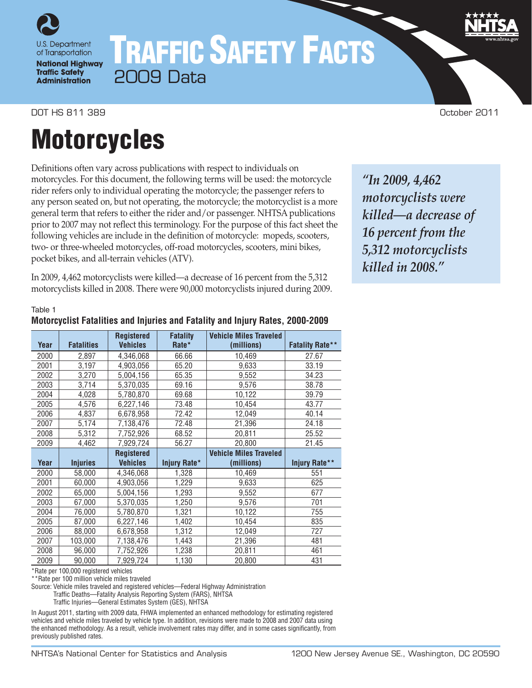

**National Highway Traffic Safety Administration** 

# TRAFFIC SAFETY FACTS 2009 Data

DOT HS 811 389 October 2011

## **Motorcycles**

Definitions often vary across publications with respect to individuals on motorcycles. For this document, the following terms will be used: the motorcycle rider refers only to individual operating the motorcycle; the passenger refers to any person seated on, but not operating, the motorcycle; the motorcyclist is a more general term that refers to either the rider and/or passenger. NHTSA publications prior to 2007 may not reflect this terminology. For the purpose of this fact sheet the following vehicles are include in the definition of motorcycle: mopeds, scooters, two- or three-wheeled motorcycles, off-road motorcycles, scooters, mini bikes, pocket bikes, and all-terrain vehicles (ATV).

In 2009, 4,462 motorcyclists were killed—a decrease of 16 percent from the 5,312 motorcyclists killed in 2008. There were 90,000 motorcyclists injured during 2009.

*"In 2009, 4,462 motorcyclists were killed—a decrease of 16 percent from the 5,312 motorcyclists killed in 2008."*

#### Table 1

## **Motorcyclist Fatalities and Injuries and Fatality and Injury Rates, 2000-2009**

**Year Fatalities Registered Vehicles Fatality Rate\* Vehicle Miles Traveled (millions) Fatality Rate\*\*** 2000 2,897 4,346,068 66.66 10,469 27.67 2001 3,197 4,903,056 65.20 9,633 33.19 2002 3,270 5,004,156 65.35 9,552 34.23 2003 3,714 5,370,035 69.16 9.576 38.78 2004 4,028 5,780,870 69.68 10,122 39.79 2005 4,576 6,227,146 73.48 10,454 43.77 2006 4,837 6,678,958 72.42 12,049 40.14 2007 5,174 7,138,476 72.48 21,396 24.18 2008 5,312 7,752,926 68.52 20,811 25.52 2009 4,462 7,929,724 56.27 20,800 21.45 **Year Injuries Registered Vehicles Injury Rate\* Vehicle Miles Traveled (millions) Injury Rate\*\*** 2000 58,000 4,346,068 1,328 10,469 551 2001 60,000 4,903,056 1,229 9,633 625 2002 65,000 5,004,156 1,293 9,552 677 2003 67,000 5,370,035 1,250 9,576 701 2004 76,000 5,780,870 1,321 10,122 755 2005 87,000 6,227,146 1,402 10,454 835 2006 88,000 6,678,958 1,312 12,049 727 2007 103,000 7,138,476 1,443 21,396 481 2008 96,000 7,752,926 1,238 20,811 461 2009 90,000 7,929,724 1,130 20,800 431

\*Rate per 100,000 registered vehicles

\*\*Rate per 100 million vehicle miles traveled

Source: Vehicle miles traveled and registered vehicles—Federal Highway Administration

Traffic Deaths—Fatality Analysis Reporting System (FARS), NHTSA

Traffic Injuries—General Estimates System (GES), NHTSA

In August 2011, starting with 2009 data, FHWA implemented an enhanced methodology for estimating registered vehicles and vehicle miles traveled by vehicle type. In addition, revisions were made to 2008 and 2007 data using the enhanced methodology. As a result, vehicle involvement rates may differ, and in some cases significantly, from previously published rates.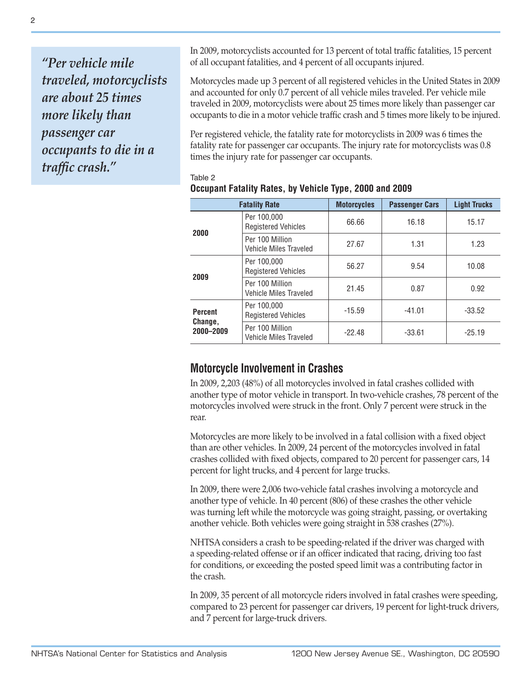*"Per vehicle mile traveled, motorcyclists are about 25 times more likely than passenger car occupants to die in a traffic crash."*

In 2009, motorcyclists accounted for 13 percent of total traffic fatalities, 15 percent of all occupant fatalities, and 4 percent of all occupants injured.

Motorcycles made up 3 percent of all registered vehicles in the United States in 2009 and accounted for only 0.7 percent of all vehicle miles traveled. Per vehicle mile traveled in 2009, motorcyclists were about 25 times more likely than passenger car occupants to die in a motor vehicle traffic crash and 5 times more likely to be injured.

Per registered vehicle, the fatality rate for motorcyclists in 2009 was 6 times the fatality rate for passenger car occupants. The injury rate for motorcyclists was 0.8 times the injury rate for passenger car occupants.

|                                        | <b>Fatality Rate</b>                      | <b>Motorcycles</b> | <b>Passenger Cars</b> | <b>Light Trucks</b> |  |
|----------------------------------------|-------------------------------------------|--------------------|-----------------------|---------------------|--|
| 2000                                   | Per 100,000<br><b>Registered Vehicles</b> | 66.66              | 16.18                 | 15.17               |  |
|                                        | Per 100 Million<br>Vehicle Miles Traveled | 27.67<br>1.31      |                       | 1.23                |  |
| 2009                                   | Per 100.000<br><b>Registered Vehicles</b> | 56.27              | 9.54                  | 10.08               |  |
|                                        | Per 100 Million<br>Vehicle Miles Traveled | 21.45              | 0.87                  | 0.92                |  |
| <b>Percent</b><br>Change,<br>2000-2009 | Per 100,000<br><b>Registered Vehicles</b> | $-15.59$           | $-41.01$              | $-33.52$            |  |
|                                        | Per 100 Million<br>Vehicle Miles Traveled | $-22.48$           | $-33.61$              | $-25.19$            |  |

#### Table 2 **Occupant Fatality Rates, by Vehicle Type, 2000 and 2009**

## **Motorcycle Involvement in Crashes**

In 2009, 2,203 (48%) of all motorcycles involved in fatal crashes collided with another type of motor vehicle in transport. In two-vehicle crashes, 78 percent of the motorcycles involved were struck in the front. Only 7 percent were struck in the rear.

Motorcycles are more likely to be involved in a fatal collision with a fixed object than are other vehicles. In 2009, 24 percent of the motorcycles involved in fatal crashes collided with fixed objects, compared to 20 percent for passenger cars, 14 percent for light trucks, and 4 percent for large trucks.

In 2009, there were 2,006 two-vehicle fatal crashes involving a motorcycle and another type of vehicle. In 40 percent (806) of these crashes the other vehicle was turning left while the motorcycle was going straight, passing, or overtaking another vehicle. Both vehicles were going straight in 538 crashes (27%).

NHTSA considers a crash to be speeding-related if the driver was charged with a speeding-related offense or if an officer indicated that racing, driving too fast for conditions, or exceeding the posted speed limit was a contributing factor in the crash.

In 2009, 35 percent of all motorcycle riders involved in fatal crashes were speeding, compared to 23 percent for passenger car drivers, 19 percent for light-truck drivers, and 7 percent for large-truck drivers.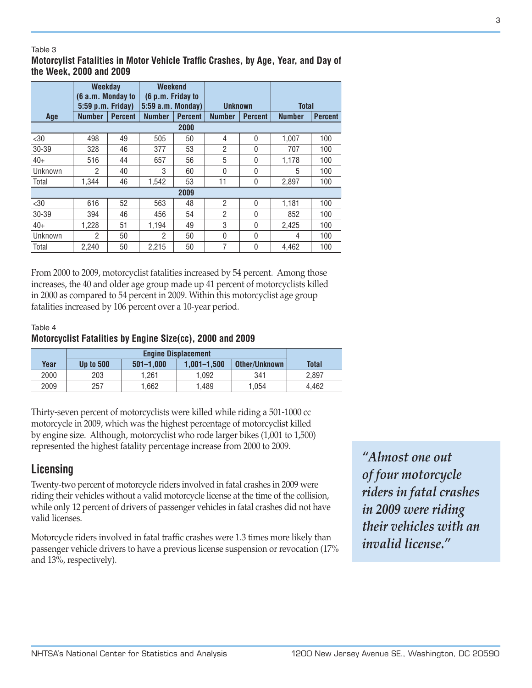#### Table 3

### **Motorcylist Fatalities in Motor Vehicle Traffic Crashes, by Age, Year, and Day of the Week, 2000 and 2009**

|         | <b>Weekday</b><br>(6 a.m. Monday to |                | Weekend<br>(6 p.m. Friday to |                |                |                |               |                |
|---------|-------------------------------------|----------------|------------------------------|----------------|----------------|----------------|---------------|----------------|
|         | 5:59 p.m. Friday)                   |                | $5:59$ a.m. Monday)          |                | <b>Unknown</b> |                | <b>Total</b>  |                |
| Age     | <b>Number</b>                       | <b>Percent</b> | <b>Number</b>                | <b>Percent</b> | <b>Number</b>  | <b>Percent</b> | <b>Number</b> | <b>Percent</b> |
|         |                                     |                |                              | 2000           |                |                |               |                |
| $30$    | 498                                 | 49             | 505                          | 50             | 4              | 0              | 1.007         | 100            |
| 30-39   | 328                                 | 46             | 377                          | 53             | $\overline{2}$ | 0              | 707           | 100            |
| $40+$   | 516                                 | 44             | 657                          | 56             | 5              | 0              | 1,178         | 100            |
| Unknown | 2                                   | 40             | 3                            | 60             | $\mathbf 0$    | 0              | 5             | 100            |
| Total   | 1.344                               | 46             | 1,542                        | 53             | 11             | 0              | 2,897         | 100            |
|         |                                     |                |                              | 2009           |                |                |               |                |
| $30$    | 616                                 | 52             | 563                          | 48             | $\overline{2}$ | 0              | 1,181         | 100            |
| 30-39   | 394                                 | 46             | 456                          | 54             | $\overline{2}$ | 0              | 852           | 100            |
| $40+$   | 1.228                               | 51             | 1.194                        | 49             | 3              | 0              | 2.425         | 100            |
| Unknown | 2                                   | 50             | 2                            | 50             | $\mathbf 0$    | 0              | 4             | 100            |
| Total   | 2.240                               | 50             | 2.215                        | 50             | 7              | 0              | 4.462         | 100            |

From 2000 to 2009, motorcyclist fatalities increased by 54 percent. Among those increases, the 40 and older age group made up 41 percent of motorcyclists killed in 2000 as compared to 54 percent in 2009. Within this motorcyclist age group fatalities increased by 106 percent over a 10-year period.

### Table 4 **Motorcyclist Fatalities by Engine Size(cc), 2000 and 2009**

| Year | <b>Up to 500</b> | $501 - 1.000$ | $1.001 - 1.500$ | Other/Unknown | <b>Total</b> |
|------|------------------|---------------|-----------------|---------------|--------------|
| 2000 | 203              | 1.261         | .092            | 341           | 2.897        |
| 2009 | 257              | 1.662         | .489            | 1.054         | 4.462        |

Thirty-seven percent of motorcyclists were killed while riding a 501-1000 cc motorcycle in 2009, which was the highest percentage of motorcyclist killed by engine size. Although, motorcyclist who rode larger bikes (1,001 to 1,500) represented the highest fatality percentage increase from 2000 to 2009.

## **Licensing**

Twenty-two percent of motorcycle riders involved in fatal crashes in 2009 were riding their vehicles without a valid motorcycle license at the time of the collision, while only 12 percent of drivers of passenger vehicles in fatal crashes did not have valid licenses.

Motorcycle riders involved in fatal traffic crashes were 1.3 times more likely than passenger vehicle drivers to have a previous license suspension or revocation (17% and 13%, respectively).

*"Almost one out of four motorcycle riders in fatal crashes in 2009 were riding their vehicles with an invalid license."*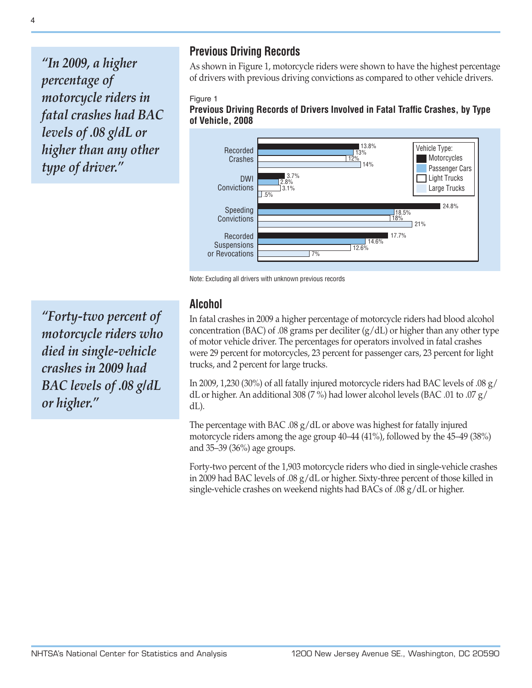*"In 2009, a higher percentage of motorcycle riders in fatal crashes had BAC levels of .08 g/dL or higher than any other type of driver."*

## **Previous Driving Records**

As shown in Figure 1, motorcycle riders were shown to have the highest percentage of drivers with previous driving convictions as compared to other vehicle drivers.

### Figure 1

**Previous Driving Records of Drivers Involved in Fatal Traffic Crashes, by Type of Vehicle, 2008**



Note: Excluding all drivers with unknown previous records

*"Forty-two percent of motorcycle riders who died in single-vehicle crashes in 2009 had BAC levels of .08 g/dL or higher."*

## **Alcohol**

In fatal crashes in 2009 a higher percentage of motorcycle riders had blood alcohol concentration (BAC) of .08 grams per deciliter  $(g/dL)$  or higher than any other type of motor vehicle driver. The percentages for operators involved in fatal crashes were 29 percent for motorcycles, 23 percent for passenger cars, 23 percent for light trucks, and 2 percent for large trucks.

In 2009, 1,230 (30%) of all fatally injured motorcycle riders had BAC levels of .08 g/ dL or higher. An additional 308 (7 %) had lower alcohol levels (BAC .01 to .07 g/ dL).

The percentage with BAC .08 g/dL or above was highest for fatally injured motorcycle riders among the age group 40–44 (41%), followed by the 45–49 (38%) and 35–39 (36%) age groups.

Forty-two percent of the 1,903 motorcycle riders who died in single-vehicle crashes in 2009 had BAC levels of .08 g/dL or higher. Sixty-three percent of those killed in single-vehicle crashes on weekend nights had BACs of .08 g/dL or higher.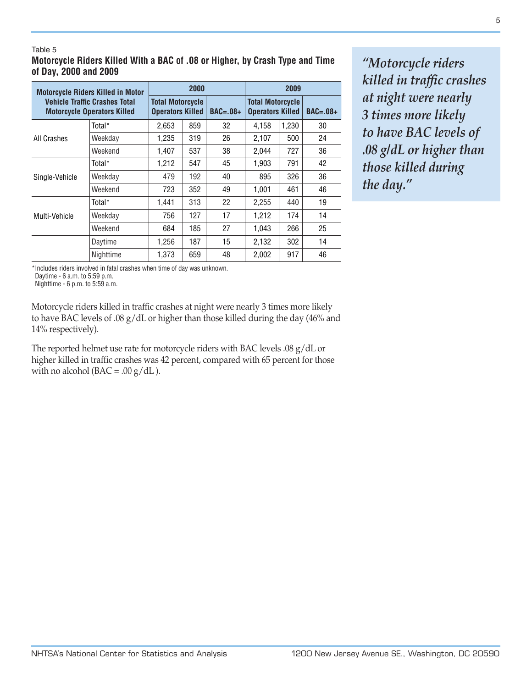#### Table 5 **Motorcycle Riders Killed With a BAC of .08 or Higher, by Crash Type and Time of Day, 2000 and 2009**

| <b>Motorcycle Riders Killed in Motor</b><br><b>Vehicle Traffic Crashes Total</b><br><b>Motorcycle Operators Killed</b> |           | 2000                                               |     |            | 2009                                               |       |            |
|------------------------------------------------------------------------------------------------------------------------|-----------|----------------------------------------------------|-----|------------|----------------------------------------------------|-------|------------|
|                                                                                                                        |           | <b>Total Motorcycle</b><br><b>Operators Killed</b> |     | $BAC=.08+$ | <b>Total Motorcycle</b><br><b>Operators Killed</b> |       | $BAC=.08+$ |
|                                                                                                                        | Total*    | 2.653                                              | 859 | 32         | 4.158                                              | 1,230 | 30         |
| All Crashes                                                                                                            | Weekday   | 1,235                                              | 319 | 26         | 2,107                                              | 500   | 24         |
|                                                                                                                        | Weekend   | 1.407                                              | 537 | 38         | 2,044                                              | 727   | 36         |
|                                                                                                                        | Total*    | 1,212                                              | 547 | 45         | 1.903                                              | 791   | 42         |
| Single-Vehicle                                                                                                         | Weekday   | 479                                                | 192 | 40         | 895                                                | 326   | 36         |
|                                                                                                                        | Weekend   | 723                                                | 352 | 49         | 1,001                                              | 461   | 46         |
|                                                                                                                        | Total*    | 1,441                                              | 313 | 22         | 2,255                                              | 440   | 19         |
| Multi-Vehicle                                                                                                          | Weekday   | 756                                                | 127 | 17         | 1,212                                              | 174   | 14         |
|                                                                                                                        | Weekend   | 684                                                | 185 | 27         | 1,043                                              | 266   | 25         |
|                                                                                                                        | Daytime   | 1,256                                              | 187 | 15         | 2,132                                              | 302   | 14         |
|                                                                                                                        | Nighttime | 1.373                                              | 659 | 48         | 2.002                                              | 917   | 46         |

*"Motorcycle riders killed in traffic crashes at night were nearly 3 times more likely to have BAC levels of .08 g/dL or higher than those killed during the day."*

\*Includes riders involved in fatal crashes when time of day was unknown.

Daytime - 6 a.m. to 5:59 p.m.

Nighttime - 6 p.m. to 5:59 a.m.

Motorcycle riders killed in traffic crashes at night were nearly 3 times more likely to have BAC levels of .08 g/dL or higher than those killed during the day (46% and 14% respectively).

The reported helmet use rate for motorcycle riders with BAC levels .08 g/dL or higher killed in traffic crashes was 42 percent, compared with 65 percent for those with no alcohol ( $BAC = .00 g/dL$ ).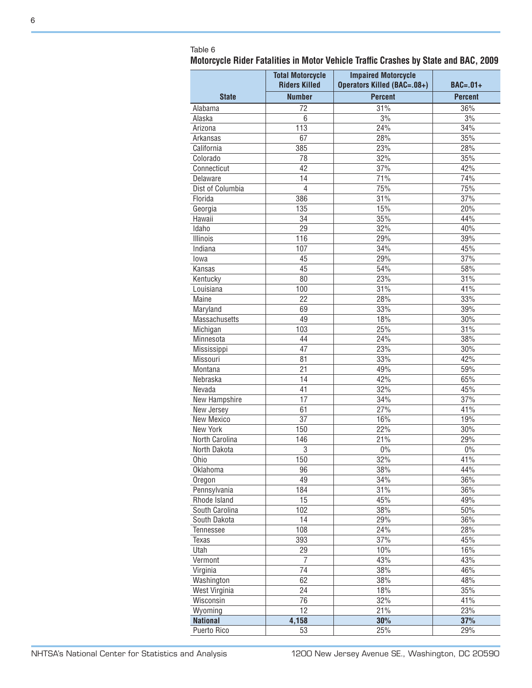## Table 6

| Motorcycle Rider Fatalities in Motor Vehicle Traffic Crashes by State and BAC, 2009 |  |  |  |  |  |
|-------------------------------------------------------------------------------------|--|--|--|--|--|
|                                                                                     |  |  |  |  |  |

|                          | <b>Total Motorcycle</b> |                             |                |  |
|--------------------------|-------------------------|-----------------------------|----------------|--|
|                          | <b>Riders Killed</b>    | Operators Killed (BAC=.08+) | $BAC=.01+$     |  |
| <b>State</b>             | <b>Number</b>           | <b>Percent</b>              | <b>Percent</b> |  |
| Alabama                  | 72                      | 31%                         | 36%            |  |
| Alaska                   | 6                       | 3%                          | 3%             |  |
| Arizona                  | 113                     | 24%                         | 34%            |  |
| Arkansas                 | 67                      | 28%                         | 35%            |  |
| California               | 385                     | 23%                         | 28%            |  |
| Colorado                 | 78                      | 32%                         | 35%            |  |
| Connecticut              | 42                      | 37%                         | 42%            |  |
| Delaware                 | 14                      | 71%                         | 74%            |  |
| Dist of Columbia         | $\overline{4}$          | 75%                         | 75%            |  |
| Florida                  | 386                     | 31%                         | 37%            |  |
| Georgia                  | 135                     | 15%                         | 20%            |  |
| Hawaii                   | 34                      | 35%                         | 44%            |  |
| Idaho                    | 29                      | 32%                         | 40%            |  |
| Illinois                 | 116                     | 29%                         | 39%            |  |
| Indiana                  | 107                     | 34%                         | 45%            |  |
| lowa                     | 45                      | 29%                         | 37%            |  |
| Kansas                   | 45                      | 54%                         | 58%            |  |
| Kentucky                 | 80                      | 23%                         | 31%            |  |
| Louisiana                | 100                     | 31%                         | 41%            |  |
| Maine                    | 22                      | 28%                         | 33%            |  |
| Maryland                 | 69                      | 33%                         | 39%            |  |
| Massachusetts            | 49                      | 18%                         | 30%            |  |
| Michigan                 | 103                     | 25%                         | 31%            |  |
| Minnesota                | 44                      | 24%                         | 38%            |  |
| Mississippi              | 47                      | 23%                         | 30%            |  |
| Missouri                 | 81                      | 33%                         | 42%            |  |
| Montana                  | 21                      | 49%                         | 59%            |  |
| Nebraska                 | 14                      | 42%                         | 65%            |  |
| Nevada                   | 41                      | 32%                         | 45%            |  |
| New Hampshire            | 17                      | 34%                         | 37%            |  |
|                          |                         | 27%                         | 41%            |  |
| New Jersey<br>New Mexico | 61<br>37                | 16%                         | 19%            |  |
| New York                 | 150                     | 22%                         | 30%            |  |
| North Carolina           | 146                     | 21%                         | 29%            |  |
|                          |                         | $0\%$                       |                |  |
| North Dakota             | 3<br>150                |                             | $0\%$<br>41%   |  |
| Ohio                     |                         | 32%                         |                |  |
| Oklahoma                 | 96<br>49                | 38%                         | 44%            |  |
| Oregon                   |                         | 34%                         | 36%            |  |
| Pennsylvania             | 184                     | 31%                         | 36%            |  |
| Rhode Island             | 15                      | 45%                         | 49%            |  |
| South Carolina           | 102                     | 38%                         | 50%            |  |
| South Dakota             | 14                      | 29%                         | 36%            |  |
| Tennessee                | 108                     | 24%                         | 28%            |  |
| Texas                    | 393                     | 37%                         | 45%            |  |
| Utah                     | 29                      | 10%                         | 16%            |  |
| Vermont                  | 7                       | 43%                         | 43%            |  |
| Virginia                 | 74                      | 38%                         | 46%            |  |
| Washington               | 62                      | 38%                         | 48%            |  |
| West Virginia            | 24                      | 18%                         | 35%            |  |
| Wisconsin                | 76                      | 32%                         | 41%            |  |
| Wyoming                  | 12                      | 21%                         | 23%            |  |
| <b>National</b>          | 4,158                   | 30%                         | 37%            |  |
| Puerto Rico              | 53                      | 25%                         | 29%            |  |

l.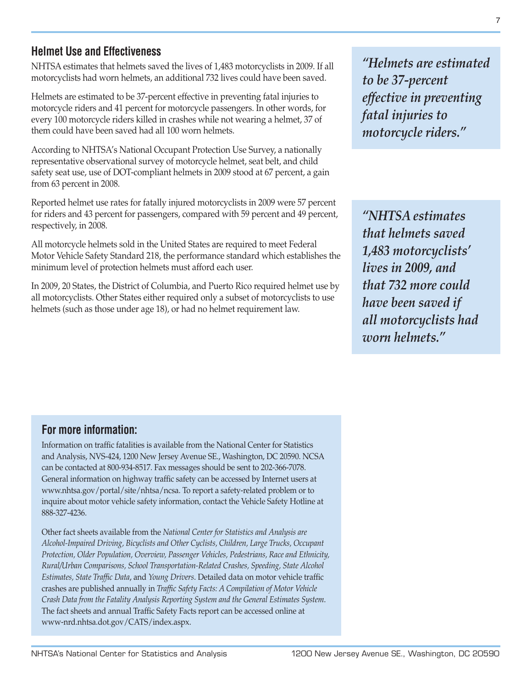## **Helmet Use and Effectiveness**

NHTSA estimates that helmets saved the lives of 1,483 motorcyclists in 2009. If all motorcyclists had worn helmets, an additional 732 lives could have been saved.

Helmets are estimated to be 37-percent effective in preventing fatal injuries to motorcycle riders and 41 percent for motorcycle passengers. In other words, for every 100 motorcycle riders killed in crashes while not wearing a helmet, 37 of them could have been saved had all 100 worn helmets.

According to NHTSA's National Occupant Protection Use Survey, a nationally representative observational survey of motorcycle helmet, seat belt, and child safety seat use, use of DOT-compliant helmets in 2009 stood at 67 percent, a gain from 63 percent in 2008.

Reported helmet use rates for fatally injured motorcyclists in 2009 were 57 percent for riders and 43 percent for passengers, compared with 59 percent and 49 percent, respectively, in 2008.

All motorcycle helmets sold in the United States are required to meet Federal Motor Vehicle Safety Standard 218, the performance standard which establishes the minimum level of protection helmets must afford each user.

In 2009, 20 States, the District of Columbia, and Puerto Rico required helmet use by all motorcyclists. Other States either required only a subset of motorcyclists to use helmets (such as those under age 18), or had no helmet requirement law.

*"Helmets are estimated to be 37-percent effective in preventing fatal injuries to motorcycle riders."*

*"NHTSA estimates that helmets saved 1,483 motorcyclists' lives in 2009, and that 732 more could have been saved if all motorcyclists had worn helmets."*

## **For more information:**

Information on traffic fatalities is available from the National Center for Statistics and Analysis, NVS-424, 1200 New Jersey Avenue SE., Washington, DC 20590. NCSA can be contacted at 800-934-8517. Fax messages should be sent to 202-366-7078. General information on highway traffic safety can be accessed by Internet users at [www.nhtsa.gov/portal/site/nhtsa/ncsa.](http://www.nhtsa.gov/portal/site/nhtsa/ncsa) To report a safety-related problem or to inquire about motor vehicle safety information, contact the Vehicle Safety Hotline at 888-327-4236.

Other fact sheets available from the *National Center for Statistics and Analysis are Alcohol-Impaired Driving, Bicyclists and Other Cyclists, Children, Large Trucks, Occupant Protection, Older Population, Overview, Passenger Vehicles, Pedestrians, Race and Ethnicity, Rural/Urban Comparisons, School Transportation-Related Crashes, Speeding, State Alcohol Estimates, State Traffic Data*, and *Young Drivers*. Detailed data on motor vehicle traffic crashes are published annually in *Traffic Safety Facts: A Compilation of Motor Vehicle Crash Data from the Fatality Analysis Reporting System and the General Estimates System*. The fact sheets and annual Traffic Safety Facts report can be accessed online at www-nrd.nhtsa.dot.gov/CATS/index.aspx.